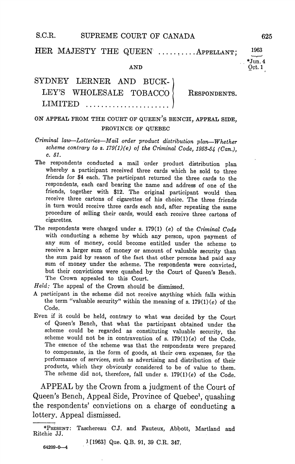#### S.C.R. SUPREME COURT OF CANADA 625

#### HER MAJESTY THE QUEEN .......... APPELLANT; 1963

AND Oct

## SYDNEY LERNER AND BUCK LEY'S WHOLESALE TOBACCO RESPONDENTS. LIMITED .........

### ON APPEAL FROM THE COURT OF QUEEN'S BENCH, APPEAL SIDE. PROVINCE OF QUEBEC

# Criminal law-Lotteries-Mail order product distribution plan-Whether scheme contrary to s.  $179(1)(e)$  of the Criminal Code, 1953-54 (Can.), c. 51.

- The respondents conducted a mail order product distribution plan whereby a participant received three cards which he sold to three friends for \$4 each. The participant returned the three cards to the respondents, each card bearing the name and address of one of the friends, together with \$12. The original participant would then receive three cartons of cigarettes of his choice The three friends in turn would receive three cards each and, after repeating the same procedure of selling their cards, would each receive three cartons of cigarettes
- The respondents were charged under s. 179(1) (e) of the Criminal Code with conducting a scheme by which any person, upon payment of any sum of money, could become entitled under the scheme to receive a larger sum of money or amount of valuable security than the sum paid by reason of the fact that other persons had paid any sum of money under the scheme. The respondents were convicted, but their convictions were quashed by the Court of Queen's Bench. The Crown appealed to this Court
- $Held$ : The appeal of the Crown should be dismissed.
- participant in the scheme did not receive anything which falls within the term "valuable security" within the meaning of s.  $179(1)(e)$  of the Code
- Even if it could be held, contrary to what was decided by the Court of Queen's Bench, that what the participant obtained under the scheme could be regarded as constituting valuable security, the scheme would not be in contravention of s.  $179(1)(e)$  of the Code. The essence of the scheme was that the respondents were prepared to compensate, in the form of goods, at their own expenses, for the performance of services, such as advertising and distribution of their products, which they obviously considered to be of value to them. The scheme did not, therefore, fall under s.  $179(1)(e)$  of the Code.

APPEAL by the Crown from a judgment of the Court of Queen's Bench, Appeal Side, Province of Quebec<sup>1</sup>, quashing the respondents' convictions on a charge of conducting a lottery. Appeal dismissed.

<sup>1</sup>[1963] Que. Q.B. 91, 39 C.R. 347.

64209-0-4

Jun4

<sup>\*</sup>PRESENT: Taschereau C.J. and Fauteux, Abbott, Martland and Ritchie JJ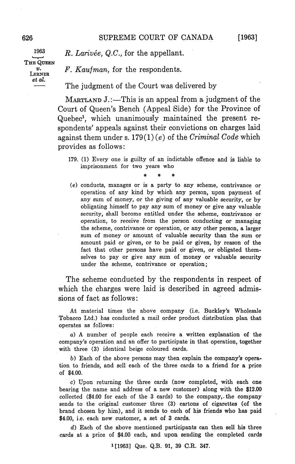1963 THE QUEEN et al

 $R. \text{ Larivée, } Q.C.$ , for the appellant.

 $v.$  F. Kaufman, for the respondents.

The judgment of the Court was delivered by

MARTLAND  $J$ .:—This is an appeal from a judgment of the Court of Queen's Bench (Appeal Side) for the Province of Quebec<sup>1</sup>, which unanimously maintained the present respondents' appeals against their convictions on charges laid against them under s. 179(1)(e) of the Criminal Code which provides as follows

- 179 Every one is guilty of an indictable offence and is liable to imprisonment for two years who
- $(e)$  conducts, manages or is a party to any scheme, contrivance or operation of any kind by which any person, upon payment of any sum of money, or the giving of any valuable security, or by obligating himself to pay any sum of money or give any valuable security, shall become entitled under the scheme, contrivance or operation, to receive from the person conducting or managing the scheme, contrivance or operation, or any other person, a larger sum of money or amount of valuable security than the sum or amount paid or given, or to be paid or given, by reason of the fact that other persons have paid or given, or obligated themselves to pay or give any sum of money or valuable security under the scheme, contrivance or operation;

The scheme conducted by the respondents in respect of which the charges were laid is described in agreed admis sions of fact as follows

At material times the above company (i.e. Buckley's Wholesale Tobacco Ltd.) has conducted a mail order product distribution plan that operates as follows

 $a)$  A number of people each receive a written explanation of the companys operation and an offer to participate in that operation together with three (3) identical beige coloured cards.

b) Each of the above persons may then explain the company's operation to friends, and sell each of the three cards to a friend for a price of \$4.00

 $c)$  Upon returning the three cards (now completed, with each one bearing the name and address of a new customer) along with the \$12.00 collected  $$4.00$  for each of the 3 cards) to the company, the company sends to the original customer three (3) cartons of cigarettes (of the brand chosen by him), and it sends to each of his friends who has paid \$4.00, i.e. each new customer, a set of 3 cards.

Each of the above mentioned participants can then sell his three cards at a price of \$4.00 each, and upon sending the completed cards

<sup>1</sup>[1963] Que. Q.B. 91, 39 C.R. 347.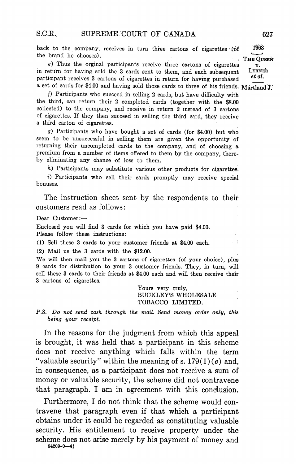back to the company, receives in turn three cartons of cigarettes (of  $1963$ 

the brand he chooses).<br>
(a) Thus the orginal participants receive three cartons of cigarettes  $\overline{v}$ . in return for having sold the 3 cards sent to them, and each subsequent participant receives 3 cartons of cigarettes in return for having purchased a set of cards for \$4.00 and having sold those cards to three of his friends. Martland J.

 $f$ ) Participants who succeed in selling 2 cards, but have difficulty with the third, can return their 2 completed cards (together with the  $$8.00$ collected) to the company, and receive in return 2 instead of 3 cartons of cigarettes. If they then succeed in selling the third card, they receive a third carton of cigarettes.

 $g$ ) Participants who have bought a set of cards (for \$4.00) but who seem to be unsuccessful in selling them are given the opportunity of returning their uncompleted cards to the company, and of choosing a premium from a number of items offered to them by the company, thereby eliminating any chance of loss to them

 $h$ ) Participants may substitute various other products for cigarettes.

i) Participants who sell their cards promptly may receive special bonuses

The instruction sheet sent by the respondents to their customers read as follows

Dear Customer

Enclosed you will find 3 cards for which you have paid \$4.00. Please follow these instructions

 $(1)$  Sell these 3 cards to your customer friends at \$4.00 each.

 $(2)$  Mail us the 3 cards with the \$12.00.

We will then mail you the 3 cartons of cigarettes (of your choice), plus 9 cards for distribution to your 3 customer friends. They, in turn, will sell these 3 cards to their friends at \$4.00 each and will then receive their 3 cartons of cigarettes.

> Yours very truly, BUCKLEYS WHOLESALE TOBACCO LIMITED

P.S. Do not send cash through the mail. Send money order only, this being your receipt

In the reasons for the judgment from which this appeal is brought, it was held that a participant in this scheme does not receive anything which falls within the term "valuable security" within the meaning of s.  $179(1)(e)$  and, in consequence, as a participant does not receive a sum of money or valuable security, the scheme did not contravene that paragraph. I am in agreement with this conclusion.

Furthermore, I do not think that the scheme would contravene that paragraph even if that which a participant obtains under it could be regarded as constituting valuable security. His entitlement to receive property under the scheme does not arise merely by his payment of money and

64209-0-41